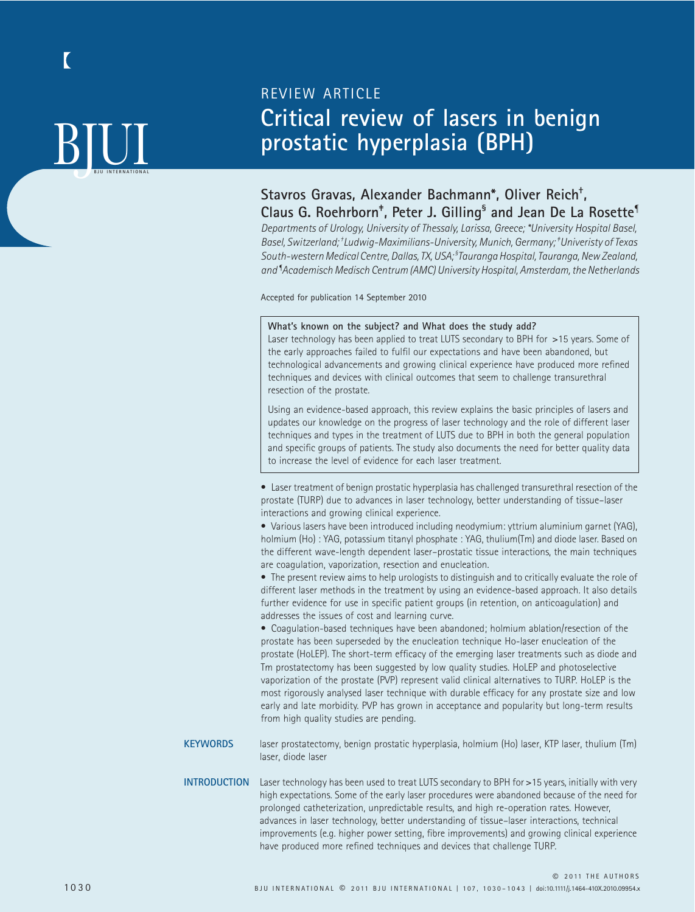# **BJUL**

## REVIEW ARTICLE **Critical review of lasers in benign prostatic hyperplasia (BPH)**

## **Stavros Gravas, Alexander Bachmann\*, Oliver Reich† ,**

**Claus G. Roehrborn‡ , Peter J. Gilling§ and Jean De La Rosette¶** *Departments of Urology, University of Thessaly, Larissa, Greece; \*University Hospital Basel, Basel, Switzerland; † Ludwig-Maximilians-University, Munich, Germany; ‡ Univeristy of Texas South-western Medical Centre, Dallas, TX, USA; § Tauranga Hospital, Tauranga, New Zealand, and ¶ Academisch Medisch Centrum (AMC) University Hospital, Amsterdam, the Netherlands*

Accepted for publication 14 September 2010

#### **What's known on the subject? and What does the study add?** Laser technology has been applied to treat LUTS secondary to BPH for >15 years. Some of the early approaches failed to fulfil our expectations and have been abandoned, but technological advancements and growing clinical experience have produced more refined techniques and devices with clinical outcomes that seem to challenge transurethral resection of the prostate. Using an evidence-based approach, this review explains the basic principles of lasers and updates our knowledge on the progress of laser technology and the role of different laser techniques and types in the treatment of LUTS due to BPH in both the general population and specific groups of patients. The study also documents the need for better quality data to increase the level of evidence for each laser treatment. • Laser treatment of benign prostatic hyperplasia has challenged transurethral resection of the prostate (TURP) due to advances in laser technology, better understanding of tissue–laser interactions and growing clinical experience. • Various lasers have been introduced including neodymium: yttrium aluminium garnet (YAG), holmium (Ho) : YAG, potassium titanyl phosphate : YAG, thulium(Tm) and diode laser. Based on the different wave-length dependent laser–prostatic tissue interactions, the main techniques are coagulation, vaporization, resection and enucleation. • The present review aims to help urologists to distinguish and to critically evaluate the role of different laser methods in the treatment by using an evidence-based approach. It also details further evidence for use in specific patient groups (in retention, on anticoagulation) and addresses the issues of cost and learning curve. • Coagulation-based techniques have been abandoned; holmium ablation/resection of the prostate has been superseded by the enucleation technique Ho-laser enucleation of the prostate (HoLEP). The short-term efficacy of the emerging laser treatments such as diode and Tm prostatectomy has been suggested by low quality studies. HoLEP and photoselective vaporization of the prostate (PVP) represent valid clinical alternatives to TURP. HoLEP is the most rigorously analysed laser technique with durable efficacy for any prostate size and low early and late morbidity. PVP has grown in acceptance and popularity but long-term results from high quality studies are pending. **KEYWORDS** laser prostatectomy, benign prostatic hyperplasia, holmium (Ho) laser, KTP laser, thulium (Tm) laser, diode laser **INTRODUCTION** Laser technology has been used to treat LUTS secondary to BPH for >15 years, initially with very

high expectations. Some of the early laser procedures were abandoned because of the need for prolonged catheterization, unpredictable results, and high re-operation rates. However, advances in laser technology, better understanding of tissue–laser interactions, technical improvements (e.g. higher power setting, fibre improvements) and growing clinical experience have produced more refined techniques and devices that challenge TURP.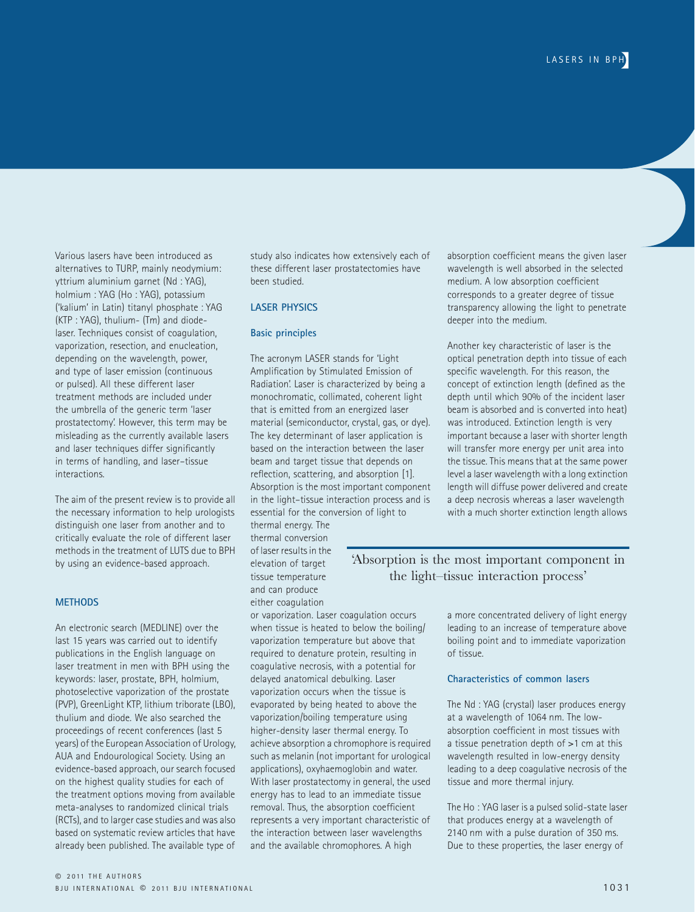Various lasers have been introduced as alternatives to TURP, mainly neodymium: yttrium aluminium garnet (Nd : YAG), holmium : YAG (Ho : YAG), potassium ('kalium' in Latin) titanyl phosphate : YAG  $(KTP \cdot YAG)$ , thulium- (Tm) and diodelaser. Techniques consist of coagulation, vaporization, resection, and enucleation, depending on the wavelength, power, and type of laser emission (continuous or pulsed). All these different laser treatment methods are included under the umbrella of the generic term 'laser prostatectomy'. However, this term may be misleading as the currently available lasers and laser techniques differ significantly in terms of handling, and laser–tissue interactions.

The aim of the present review is to provide all the necessary information to help urologists distinguish one laser from another and to critically evaluate the role of different laser methods in the treatment of LUTS due to BPH by using an evidence-based approach.

#### **METHODS**

An electronic search (MEDLINE) over the last 15 years was carried out to identify publications in the English language on laser treatment in men with BPH using the keywords: laser, prostate, BPH, holmium, photoselective vaporization of the prostate (PVP), GreenLight KTP, lithium triborate (LBO), thulium and diode. We also searched the proceedings of recent conferences (last 5 years) of the European Association of Urology, AUA and Endourological Society. Using an evidence-based approach, our search focused on the highest quality studies for each of the treatment options moving from available meta-analyses to randomized clinical trials (RCTs), and to larger case studies and was also based on systematic review articles that have already been published. The available type of

study also indicates how extensively each of these different laser prostatectomies have been studied.

#### **LASER PHYSICS**

#### **Basic principles**

The acronym LASER stands for 'Light Amplification by Stimulated Emission of Radiation'. Laser is characterized by being a monochromatic, collimated, coherent light that is emitted from an energized laser material (semiconductor, crystal, gas, or dye). The key determinant of laser application is based on the interaction between the laser beam and target tissue that depends on reflection, scattering, and absorption [1]. Absorption is the most important component in the light–tissue interaction process and is essential for the conversion of light to thermal energy. The

thermal conversion of laser results in the elevation of target tissue temperature and can produce either coagulation

or vaporization. Laser coagulation occurs when tissue is heated to below the boiling/ vaporization temperature but above that required to denature protein, resulting in coagulative necrosis, with a potential for delayed anatomical debulking. Laser vaporization occurs when the tissue is evaporated by being heated to above the vaporization/boiling temperature using higher-density laser thermal energy. To achieve absorption a chromophore is required such as melanin (not important for urological applications), oxyhaemoglobin and water. With laser prostatectomy in general, the used energy has to lead to an immediate tissue removal. Thus, the absorption coefficient represents a very important characteristic of the interaction between laser wavelengths and the available chromophores. A high

absorption coefficient means the given laser wavelength is well absorbed in the selected medium. A low absorption coefficient corresponds to a greater degree of tissue transparency allowing the light to penetrate deeper into the medium.

Another key characteristic of laser is the optical penetration depth into tissue of each specific wavelength. For this reason, the concept of extinction length (defined as the depth until which 90% of the incident laser beam is absorbed and is converted into heat) was introduced. Extinction length is very important because a laser with shorter length will transfer more energy per unit area into the tissue. This means that at the same power level a laser wavelength with a long extinction length will diffuse power delivered and create a deep necrosis whereas a laser wavelength with a much shorter extinction length allows

#### 'Absorption is the most important component in the light–tissue interaction process'

a more concentrated delivery of light energy leading to an increase of temperature above boiling point and to immediate vaporization of tissue.

#### **Characteristics of common lasers**

The Nd : YAG (crystal) laser produces energy at a wavelength of 1064 nm. The lowabsorption coefficient in most tissues with a tissue penetration depth of >1 cm at this wavelength resulted in low-energy density leading to a deep coagulative necrosis of the tissue and more thermal injury.

The Ho : YAG laser is a pulsed solid-state laser that produces energy at a wavelength of 2140 nm with a pulse duration of 350 ms. Due to these properties, the laser energy of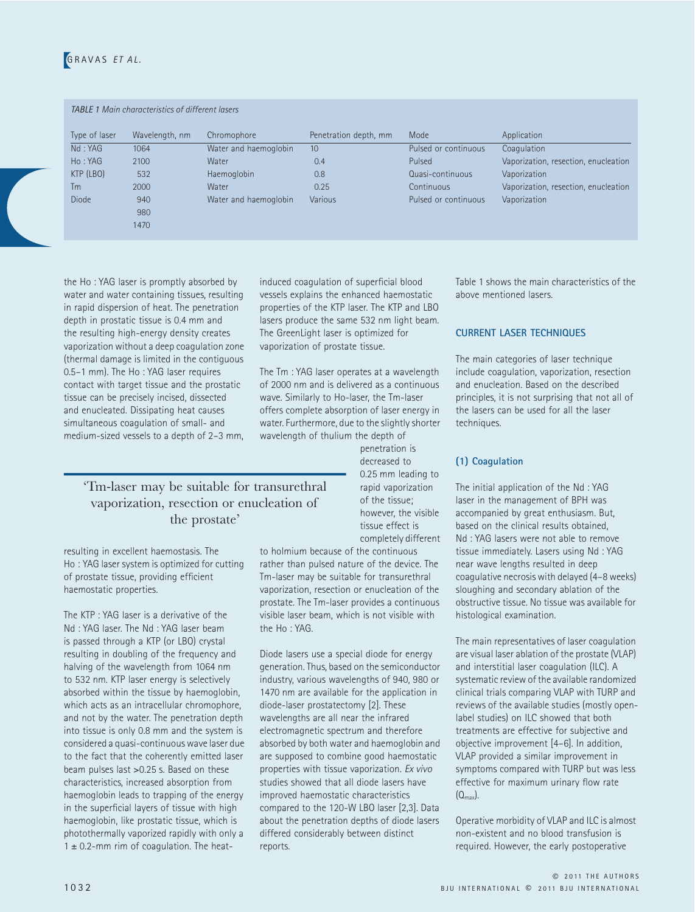### GRAVAS *ET AL.*

#### *TABLE 1 Main characteristics of different lasers*

| Type of laser | Wavelength, nm | Chromophore           | Penetration depth, mm | Mode                 | Application                          |
|---------------|----------------|-----------------------|-----------------------|----------------------|--------------------------------------|
| Nd: YAG       | 1064           | Water and haemoglobin | 10                    | Pulsed or continuous | Coagulation                          |
| Ho: YAG       | 2100           | Water                 | 0.4                   | Pulsed               | Vaporization, resection, enucleation |
| KTP (LBO)     | 532            | Haemoglobin           | 0.8                   | Quasi-continuous     | Vaporization                         |
| Тm            | 2000           | Water                 | 0.25                  | Continuous           | Vaporization, resection, enucleation |
| <b>Diode</b>  | 940            | Water and haemoglobin | Various               | Pulsed or continuous | Vaporization                         |
|               | 980            |                       |                       |                      |                                      |
|               | 1470           |                       |                       |                      |                                      |

the Ho : YAG laser is promptly absorbed by water and water containing tissues, resulting in rapid dispersion of heat. The penetration depth in prostatic tissue is 0.4 mm and the resulting high-energy density creates vaporization without a deep coagulation zone (thermal damage is limited in the contiguous 0.5–1 mm). The Ho : YAG laser requires contact with target tissue and the prostatic tissue can be precisely incised, dissected and enucleated. Dissipating heat causes simultaneous coagulation of small- and medium-sized vessels to a depth of 2–3 mm, induced coagulation of superficial blood vessels explains the enhanced haemostatic properties of the KTP laser. The KTP and LBO lasers produce the same 532 nm light beam. The GreenLight laser is optimized for vaporization of prostate tissue.

The Tm : YAG laser operates at a wavelength of 2000 nm and is delivered as a continuous wave. Similarly to Ho-laser, the Tm-laser offers complete absorption of laser energy in water. Furthermore, due to the slightly shorter wavelength of thulium the depth of

> penetration is decreased to 0.25 mm leading to rapid vaporization of the tissue; however, the visible tissue effect is completely different

to holmium because of the continuous rather than pulsed nature of the device. The Tm-laser may be suitable for transurethral vaporization, resection or enucleation of the prostate. The Tm-laser provides a continuous visible laser beam, which is not visible with the Ho : YAG.

Diode lasers use a special diode for energy generation. Thus, based on the semiconductor industry, various wavelengths of 940, 980 or 1470 nm are available for the application in diode-laser prostatectomy [2]. These wavelengths are all near the infrared electromagnetic spectrum and therefore absorbed by both water and haemoglobin and are supposed to combine good haemostatic properties with tissue vaporization. *Ex vivo* studies showed that all diode lasers have improved haemostatic characteristics compared to the 120-W LBO laser [2,3]. Data about the penetration depths of diode lasers differed considerably between distinct reports.

Table 1 shows the main characteristics of the above mentioned lasers.

#### **CURRENT LASER TECHNIQUES**

The main categories of laser technique include coagulation, vaporization, resection and enucleation. Based on the described principles, it is not surprising that not all of the lasers can be used for all the laser techniques.

#### **(1) Coagulation**

The initial application of the Nd : YAG laser in the management of BPH was accompanied by great enthusiasm. But, based on the clinical results obtained, Nd : YAG lasers were not able to remove tissue immediately. Lasers using Nd : YAG near wave lengths resulted in deep coagulative necrosis with delayed (4–8 weeks) sloughing and secondary ablation of the obstructive tissue. No tissue was available for histological examination.

The main representatives of laser coagulation are visual laser ablation of the prostate (VLAP) and interstitial laser coagulation (ILC). A systematic review of the available randomized clinical trials comparing VLAP with TURP and reviews of the available studies (mostly openlabel studies) on ILC showed that both treatments are effective for subjective and objective improvement [4–6]. In addition, VLAP provided a similar improvement in symptoms compared with TURP but was less effective for maximum urinary flow rate  $(Q<sub>max</sub>)$ .

Operative morbidity of VLAP and ILC is almost non-existent and no blood transfusion is required. However, the early postoperative

#### 'Tm-laser may be suitable for transurethral vaporization, resection or enucleation of the prostate'

resulting in excellent haemostasis. The Ho : YAG laser system is optimized for cutting of prostate tissue, providing efficient haemostatic properties.

The KTP : YAG laser is a derivative of the Nd : YAG laser. The Nd : YAG laser beam is passed through a KTP (or LBO) crystal resulting in doubling of the frequency and halving of the wavelength from 1064 nm to 532 nm. KTP laser energy is selectively absorbed within the tissue by haemoglobin, which acts as an intracellular chromophore, and not by the water. The penetration depth into tissue is only 0.8 mm and the system is considered a quasi-continuous wave laser due to the fact that the coherently emitted laser beam pulses last >0.25 s. Based on these characteristics, increased absorption from haemoglobin leads to trapping of the energy in the superficial layers of tissue with high haemoglobin, like prostatic tissue, which is photothermally vaporized rapidly with only a  $1 \pm 0.2$ -mm rim of coagulation. The heat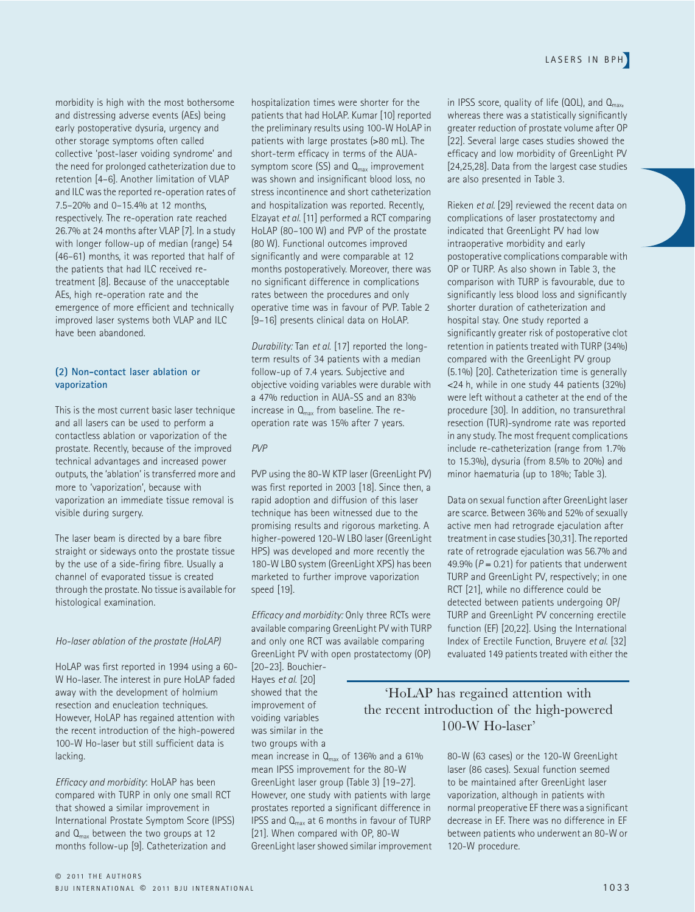morbidity is high with the most bothersome and distressing adverse events (AEs) being early postoperative dysuria, urgency and other storage symptoms often called collective 'post-laser voiding syndrome' and the need for prolonged catheterization due to retention [4–6]. Another limitation of VLAP and ILC was the reported re-operation rates of 7.5–20% and 0–15.4% at 12 months, respectively. The re-operation rate reached 26.7% at 24 months after VLAP [7]. In a study with longer follow-up of median (range) 54 (46–61) months, it was reported that half of the patients that had ILC received retreatment [8]. Because of the unacceptable AEs, high re-operation rate and the emergence of more efficient and technically improved laser systems both VLAP and ILC have been abandoned.

#### **(2) Non-contact laser ablation or vaporization**

This is the most current basic laser technique and all lasers can be used to perform a contactless ablation or vaporization of the prostate. Recently, because of the improved technical advantages and increased power outputs, the 'ablation' is transferred more and more to 'vaporization', because with vaporization an immediate tissue removal is visible during surgery.

The laser beam is directed by a bare fibre straight or sideways onto the prostate tissue by the use of a side-firing fibre. Usually a channel of evaporated tissue is created through the prostate. No tissue is available for histological examination.

#### *Ho-laser ablation of the prostate (HoLAP)*

HoLAP was first reported in 1994 using a 60- W Ho-laser. The interest in pure HoLAP faded away with the development of holmium resection and enucleation techniques. However, HoLAP has regained attention with the recent introduction of the high-powered 100-W Ho-laser but still sufficient data is lacking.

*Efficacy and morbidity*: HoLAP has been compared with TURP in only one small RCT that showed a similar improvement in International Prostate Symptom Score (IPSS) and  $Q_{\text{max}}$  between the two groups at 12 months follow-up [9]. Catheterization and

hospitalization times were shorter for the patients that had HoLAP. Kumar [10] reported the preliminary results using 100-W HoLAP in patients with large prostates (>80 mL). The short-term efficacy in terms of the AUAsymptom score (SS) and  $Q_{\text{max}}$  improvement was shown and insignificant blood loss, no stress incontinence and short catheterization and hospitalization was reported. Recently, Elzayat *et al*. [11] performed a RCT comparing HoLAP (80–100 W) and PVP of the prostate (80 W). Functional outcomes improved significantly and were comparable at 12 months postoperatively. Moreover, there was no significant difference in complications rates between the procedures and only operative time was in favour of PVP. Table 2 [9–16] presents clinical data on HoLAP.

*Durability:* Tan *et al*. [17] reported the longterm results of 34 patients with a median follow-up of 7.4 years. Subjective and objective voiding variables were durable with a 47% reduction in AUA-SS and an 83% increase in  $Q<sub>max</sub>$  from baseline. The reoperation rate was 15% after 7 years.

#### *PVP*

PVP using the 80-W KTP laser (GreenLight PV) was first reported in 2003 [18]. Since then, a rapid adoption and diffusion of this laser technique has been witnessed due to the promising results and rigorous marketing. A higher-powered 120-W LBO laser (GreenLight HPS) was developed and more recently the 180-W LBO system (GreenLight XPS) has been marketed to further improve vaporization speed [19].

*Efficacy and morbidity:* Only three RCTs were available comparing GreenLight PV with TURP and only one RCT was available comparing GreenLight PV with open prostatectomy (OP) [20–23]. Bouchier-

Hayes *et al*. [20] showed that the improvement of voiding variables was similar in the two groups with a

mean increase in  $Q_{\text{max}}$  of 136% and a 61% mean IPSS improvement for the 80-W GreenLight laser group (Table 3) [19–27]. However, one study with patients with large prostates reported a significant difference in IPSS and  $Q_{\text{max}}$  at 6 months in favour of TURP [21]. When compared with OP, 80-W GreenLight laser showed similar improvement in IPSS score, quality of life  $(QOL)$ , and  $Q<sub>max</sub>$ , whereas there was a statistically significantly greater reduction of prostate volume after OP [22]. Several large cases studies showed the efficacy and low morbidity of GreenLight PV [24,25,28]. Data from the largest case studies are also presented in Table 3.

Rieken *et al*. [29] reviewed the recent data on complications of laser prostatectomy and indicated that GreenLight PV had low intraoperative morbidity and early postoperative complications comparable with OP or TURP. As also shown in Table 3, the comparison with TURP is favourable, due to significantly less blood loss and significantly shorter duration of catheterization and hospital stay. One study reported a significantly greater risk of postoperative clot retention in patients treated with TURP (34%) compared with the GreenLight PV group (5.1%) [20]. Catheterization time is generally <24 h, while in one study 44 patients (32%) were left without a catheter at the end of the procedure [30]. In addition, no transurethral resection (TUR)-syndrome rate was reported in any study. The most frequent complications include re-catheterization (range from 1.7% to 15.3%), dysuria (from 8.5% to 20%) and minor haematuria (up to 18%; Table 3).

Data on sexual function after GreenLight laser are scarce. Between 36% and 52% of sexually active men had retrograde ejaculation after treatment in case studies [30,31]. The reported rate of retrograde ejaculation was 56.7% and 49.9%  $(P = 0.21)$  for patients that underwent TURP and GreenLight PV, respectively; in one RCT [21], while no difference could be detected between patients undergoing OP/ TURP and GreenLight PV concerning erectile function (EF) [20,22]. Using the International Index of Erectile Function, Bruyere *et al*. [32] evaluated 149 patients treated with either the

#### 'HoLAP has regained attention with the recent introduction of the high-powered 100-W Ho-laser'

80-W (63 cases) or the 120-W GreenLight laser (86 cases). Sexual function seemed to be maintained after GreenLight laser vaporization, although in patients with normal preoperative EF there was a significant decrease in EF. There was no difference in EF between patients who underwent an 80-W or 120-W procedure.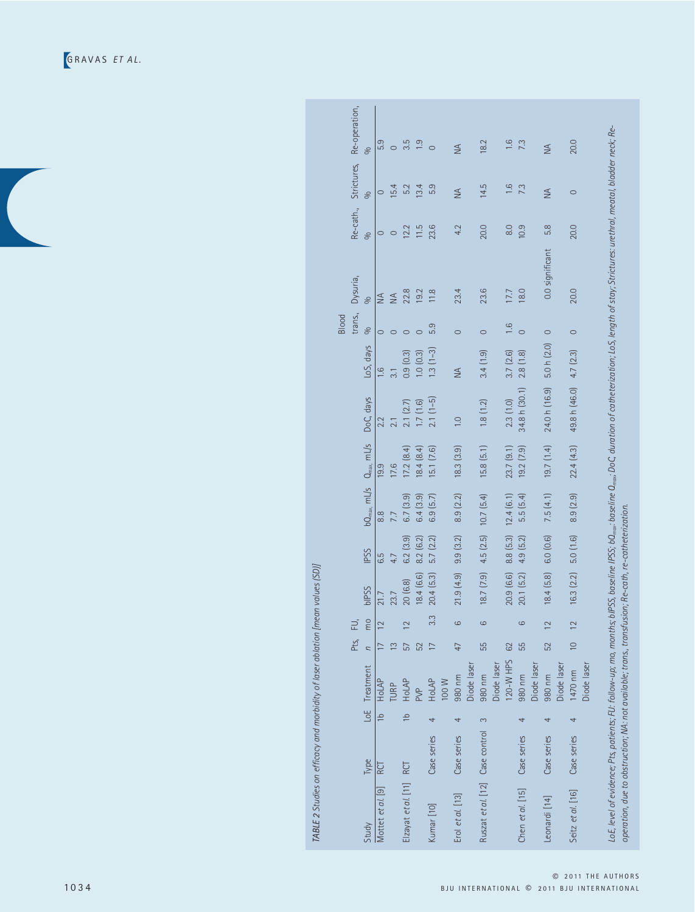GRAVAS *ET AL.*

|                                 |             |                |                        | Pts,            | 군              |                    |             |                        |                |                  |               | trans.,<br>Blood | Dysuria,        | Re-cath.,      | Strictures,   | Re-operation,    |
|---------------------------------|-------------|----------------|------------------------|-----------------|----------------|--------------------|-------------|------------------------|----------------|------------------|---------------|------------------|-----------------|----------------|---------------|------------------|
| Study                           | Type        |                | LoE Treatment          | $\overline{a}$  | mo             | <b>PPSS</b>        | <b>IPSS</b> | $bQ_{\text{max}}$ mL/s | $Q_{max}$ mL/s | DoC, days        | LoS, days     | S6               | S6              | S6             | S6            | S6               |
| Mottet et al. [9]               | RCT         | $\frac{1}{10}$ | <b>HoLAP</b>           |                 | $\overline{2}$ |                    | 6.5         | $\frac{8}{8}$          | 19.9           | 2.2              | $\frac{6}{1}$ |                  | $\frac{1}{2}$   |                |               | 5.9              |
|                                 |             |                | <b>TURP</b>            | $\tilde{=}$     |                | 23.7               | 4.7         | 7.7                    | 17.6           | 2.1              | 3.1           |                  | $\leq$          |                | 5.4           | $\circ$          |
| Elzayat et al. [11] RCT         |             | $\frac{1}{2}$  | HoLAP                  | 57              | $\overline{2}$ | 20 (6.8)           | 6.2(3.9)    | 6.7(3.9)               | 17.2 (8.4)     | 2.1(2.7)         | 0.9(0.3)      |                  | 22.8            | 12.2           | 5.2           | 3.5              |
|                                 |             |                | <b>PVP</b>             | 52              |                | 18.4(6.6)          | 8.2 (6.2)   | 6.4(3.9)               | 18.4(8.4)      | 1.7(1.6)         | 1.0(0.3)      |                  | 19.2            | 11.5           | 13.4          | $\overline{1.9}$ |
| Kumar [10]                      | Case series | 4              | HoLAP                  | $\overline{17}$ | 3.3            | 20.4(5.3)          | 5.7 (2.2)   | 6.9(5.7)               | 15.1 (7.6)     | $2.1(1-5)$       | $1.3(1-3)$    | 5.9              | 11.8            | 23.6           | 5.9           | $\circ$          |
|                                 |             |                | 100 W                  |                 |                |                    |             |                        |                |                  |               |                  |                 |                |               |                  |
| Erol et al. [13]                | Case series | 4              | 980 nm                 | 47              | $\circ$        | 21.9(4.9)          | 9.9(3.2)    | 8.9 (2.2)              | 18.3(3.9)      | $\overline{1.0}$ | $\frac{4}{2}$ | $\circ$          | 23.4            | 4.2            | $\frac{4}{2}$ | $\frac{4}{2}$    |
|                                 |             |                | Diode laser            |                 |                |                    |             |                        |                |                  |               |                  |                 |                |               |                  |
| Ruszat et al. [12] Case control |             | $\infty$       | 980 nm                 | 55              | $\circ$        | 18.7(7.9)          | 4.5(2.5)    | 10.7 (5.4)             | 15.8(5.1)      | 1.8(1.2)         | 3.4(1.9)      | $\circ$          | 23.6            | 20.0           | 14.5          | 18.2             |
|                                 |             |                | Diode laser            |                 |                |                    |             |                        |                |                  |               |                  |                 |                |               |                  |
|                                 |             |                | 120-W HPS              | 62              |                | 20.9(6.6)          | 8.8 (5.3)   | 12.4(6.1)              | 23.7(9.1)      | 2.3(1.0)         | 3.7(2.6)      | $\frac{1}{6}$    | 17.7            | $\frac{8}{10}$ | $\frac{6}{1}$ | $\frac{6}{1}$    |
| Chen et al. [15] Case series    |             | 4              | 980 nm                 | 55              | $\circ$        | 20.1(5.2)          | 4.9 (5.2)   | 5.5(5.4)               | 19.2(7.9)      | 34.8 h (30.1)    | 2.8(1.8)      | $\circ$          | 18.0            | 10.9           | 7.3           | 7.3              |
|                                 |             |                | Diode laser            |                 |                |                    |             |                        |                |                  |               |                  |                 |                |               |                  |
| Leonardi [14]                   | Case series | 4              | 980 nm                 | 52              | $\overline{2}$ | 18.4(5.8)          | 6.0 (0.6)   | 7.5(4.1)               | 19.7(1.4)      | 24.0 h (16.9)    | 5.0 h (2.0)   | $\circ$          | 0.0 significant | 5.8            | $\frac{4}{2}$ | $\leq$           |
|                                 |             |                | Diode laser            |                 |                |                    |             |                        |                |                  |               |                  |                 |                |               |                  |
| Seitz et al. [16]               | Case series | 4              | Diode laser<br>1470 nm | $\approx$       | $\frac{12}{2}$ | 16.3(2.2) 5.0(1.6) |             | 8.9 (2.9)              | 22.4(4.3)      | 49.8 h (46.0)    | 4.7 (2.3)     | $\circ$          | 20.0            | 20.0           | $\circ$       | 20.0             |

TABLE 2 Studies on efficacy and morbidity of laser ablation [mean values (SD)] *TABLE 2 Studies on efficacy and morbidity of laser ablation [mean values (SD)]*

© 2011 THE AUTHORS 1034 BJU INTERNATIONAL © 2011 BJU INTERNATIONAL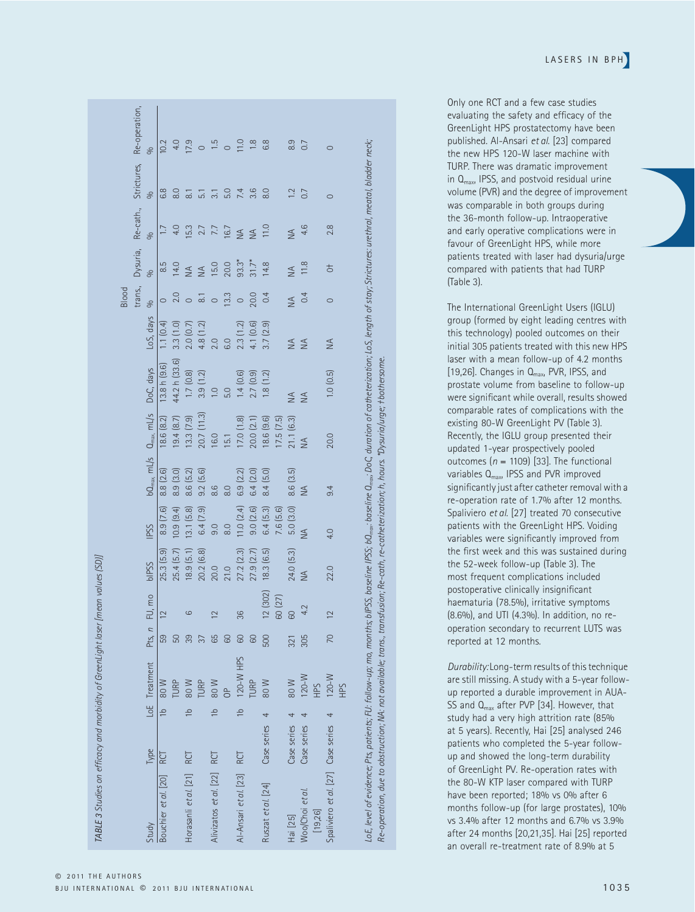|                                    |               |               |               |          |                         |            |                  |                 |                  |                  |               | Blood               |                |               |                    |                |
|------------------------------------|---------------|---------------|---------------|----------|-------------------------|------------|------------------|-----------------|------------------|------------------|---------------|---------------------|----------------|---------------|--------------------|----------------|
|                                    |               |               |               |          |                         |            |                  |                 |                  |                  |               | trans.              | Dysuria,       | Re-cath.,     | Strictures,        | Re-operation,  |
| Study                              | Type          |               | LoE Treatment | Pts, $n$ | FU, mo                  | blPSS      | <b>IPSS</b>      | $bQ_{max}$ mL/s | $Q_{max}$ $mL/s$ | DoC, days        | LoS, days     | S6                  | S,             | S6            | S <sub>0</sub>     | S <sub>0</sub> |
| Bouchier et al. [20]               | RCT           | $\frac{1}{2}$ | 80 W          | 59       | $\overline{2}$          | 25.3 (5.9) | 8.9(7.6)         | 8.8(2.6)        | 18.6 (8.2)       | 13.8h(9.6)       | 1.1(0.4)      | $\circ$             | 8.5            |               | 6.8                | 10.2           |
|                                    |               |               | TURP          | 50       |                         | 25.4(5.7)  | 10.9(9.4)        | 8.9(3.0)        | 19.4 (8.7)       | 44.2 h (33.6)    | 3.3(1.0)      | 2.0                 | 14.0           | 4.0           | 8.0                |                |
| Horasanli et al. [21] RCT          |               | $\frac{1}{2}$ | 80 W          | 39       | ဖ                       | 18.9(5.1)  | 13.1(5.8)        | 8.6 (5.2)       | 13.3(7.9)        | 1.7(0.8)         | 2.0(0.7)      | $\circ$             | $\leq$         | 15.3          | $\overline{\circ}$ | 7.9            |
|                                    |               |               | TURP          | 37       |                         | 20.2 (6.8) | 6.4(7.9)         | 9.2(5.6)        | 20.7 (11.3)      | 3.9(1.2)         | 4.8 (1.2)     | $\overline{\infty}$ | $\leq$         | 2.7           | $\overline{51}$    |                |
| Alivizatos et al. [22] RCT         |               | $\frac{1}{2}$ | 80 W          | 65       | $\overline{\mathbf{C}}$ | 20.0       | 9.0              | 8.6             | 16.0             | $\overline{1.0}$ | 2.0           | $\circ$             | 15.0           | 7.7           | ಸ                  | 1.5            |
|                                    |               |               | $\frac{a}{C}$ | 60       |                         | 21.0       | $\overline{8.0}$ | 8.0             | 15.1             | 5.0              | 6.0           | 13.3                | 20.0           | 16.7          | 5.0                | $\circ$        |
| Al-Ansari et al. [23] RCT          |               | $\frac{1}{2}$ | 120-W HPS     | 60       | 36                      | 27.2 (2.3) | 11.0(2.4)        | 6.9 (2.2)       | 17.0(1.8)        | 1.4(0.6)         | 2.3(1.2)      | $\circ$             | $93.3*$        | $\leq$        | 7.4                | 11.0           |
|                                    |               |               | <b>TURP</b>   | 60       |                         | 27.9 (2.7) | 9.0(2.6)         | 6.4(2.0)        | 20.0 (2.1)       | 2.7(0.9)         | 4.1 (0.6)     | 20.0                | $31.7*$        | $\leq$        | 3.6                | 1.8            |
| Ruszat et al. [24]                 | Case series 4 |               | 80 W          | 500      | 12(302)                 | 18.3(6.5)  | 6.4(5.3)         | 8.4(5.0)        | 18.6(9.6)        | 1.8(1.2)         | 3.7(2.9)      | 0.4                 | 14.8           | 11.0          | 8.0                | 6.8            |
|                                    |               |               |               |          | 60 (27)                 |            | 7.6 (5.6)        |                 | 17.5(7.5)        |                  |               |                     |                |               |                    |                |
| Hai [25]                           | Case series   | 4             | 80 W          | 321      | 60                      | 24.0 (5.3) | 5.0(3.0)         | 8.6(3.5)        | 21.1(6.3)        | $\frac{4}{2}$    | $\frac{4}{2}$ | $\leq$              | $\leq$         | $\frac{4}{2}$ | $\overline{12}$    | 8.9            |
| Woo/Choi et al.                    | Case series   |               | $120-W$       | 305      | 4.2                     | $\leq$     | $\leq$           | $\leq$          | $\leq$           | $\frac{4}{2}$    | $\leq$        | 0.4                 | 11.8           | 4.6           | 0.7                | 0.7            |
| [19,26]                            |               |               | ЯHН           |          |                         |            |                  |                 |                  |                  |               |                     |                |               |                    |                |
| Spaliviero et al. [27] Case series |               | 4             | $120-W$       | 70       | $\overline{2}$          | 22.0       | 4.0              | 9.4             | 20.0             | 1.0(0.5)         | $\frac{4}{2}$ | $\circ$             | $\overline{5}$ | 2.8           | $\circ$            |                |
|                                    |               |               | ЯH            |          |                         |            |                  |                 |                  |                  |               |                     |                |               |                    |                |

LoE, level of evidence; Pts, patients; FL!: follow-up; mo, months; bIPSS, baseline IPSS; ba<sub>max</sub>: baseline O.<sub>max</sub>: DoC, duration of catheterization; .<br>Re-operation, due to obstruction; NA: not available; trans, transfusio *Re-operation, due to obstruction; NA: not available; trans., transfusion; Re-cath, re-catheterization; h, hours. \*Dysuria/urge; †bothersome.*

LASERS IN BPH

Only one RCT and a few case studies evaluating the safety and efficacy of the GreenLight HPS prostatectomy have been published. Al-Ansari *et al*. [23] compared the new HPS 120-W laser machine with TURP. There was dramatic improvement in Qmax, IPSS, and postvoid residual urine volume (PVR) and the degree of improvement was comparable in both groups during the 36-month follow-up. Intraoperative and early operative complications were in favour of GreenLight HPS, while more patients treated with laser had dysuria/urge compared with patients that had TURP (Table 3).

The International GreenLight Users (IGLU) group (formed by eight leading centres with this technology) pooled outcomes on their initial 305 patients treated with this new HPS laser with a mean follow-up of 4.2 months [19,26]. Changes in Q<sub>max</sub>, PVR, IPSS, and prostate volume from baseline to follow-up were significant while overall, results showed comparable rates of complications with the existing 80-W GreenLight PV (Table 3). Recently, the IGLU group presented their updated 1-year prospectively pooled outcomes  $(n = 1109)$  [33]. The functional variables Q<sub>max</sub>, IPSS and PVR improved significantly just after catheter removal with a re-operation rate of 1.7% after 12 months. Spaliviero *et al*. [27] treated 70 consecutive patients with the GreenLight HPS. Voiding variables were significantly improved from the first week and this was sustained during the 52-week follow-up (Table 3). The most frequent complications included postoperative clinically insignificant haematuria (78.5%), irritative symptoms (8.6%), and UTI (4.3%). In addition, no reoperation secondary to recurrent LUTS was reported at 12 months.

*Durability:* Long-term results of this technique are still missing. A study with a 5-year followup reported a durable improvement in AUA-SS and  $Q_{max}$  after PVP [34]. However, that study had a very high attrition rate (85% at 5 years). Recently, Hai [25] analysed 246 patients who completed the 5-year followup and showed the long-term durability of GreenLight PV. Re-operation rates with the 80-W KTP laser compared with TURP have been reported; 18% vs 0% after 6 months follow-up (for large prostates), 10% vs 3.4% after 12 months and 6.7% vs 3.9% after 24 months [20,21,35]. Hai [25] reported an overall re-treatment rate of 8.9% at 5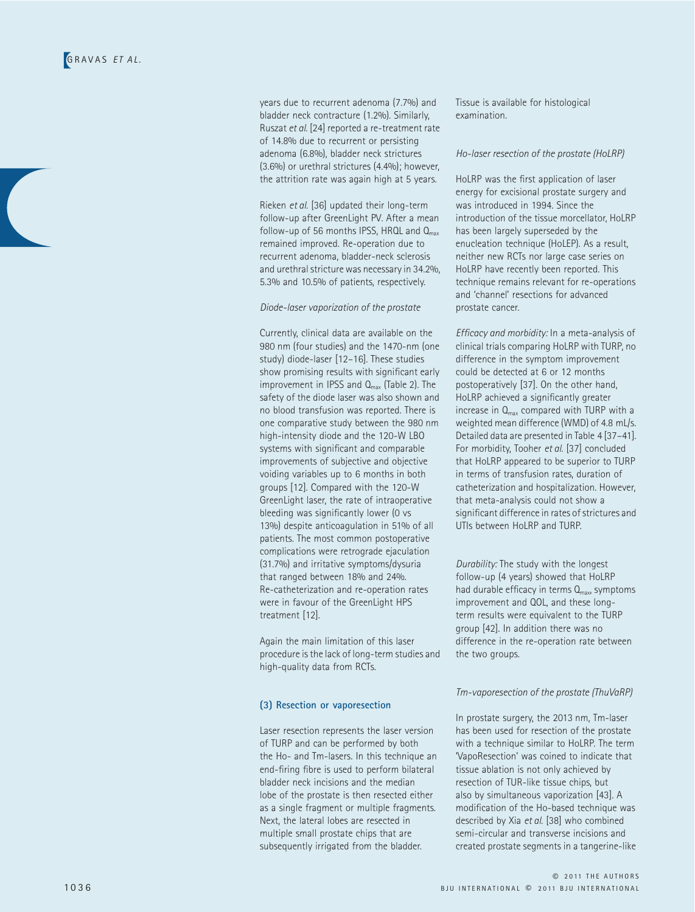years due to recurrent adenoma (7.7%) and bladder neck contracture (1.2%). Similarly, Ruszat *et al*. [24] reported a re-treatment rate of 14.8% due to recurrent or persisting adenoma (6.8%), bladder neck strictures (3.6%) or urethral strictures (4.4%); however, the attrition rate was again high at 5 years.

Rieken *et al*. [36] updated their long-term follow-up after GreenLight PV. After a mean follow-up of 56 months IPSS, HRQL and  $Q<sub>max</sub>$ remained improved. Re-operation due to recurrent adenoma, bladder-neck sclerosis and urethral stricture was necessary in 34.2%, 5.3% and 10.5% of patients, respectively.

*Diode-laser vaporization of the prostate*

Currently, clinical data are available on the 980 nm (four studies) and the 1470-nm (one study) diode-laser [12–16]. These studies show promising results with significant early improvement in IPSS and  $Q<sub>max</sub>$  (Table 2). The safety of the diode laser was also shown and no blood transfusion was reported. There is one comparative study between the 980 nm high-intensity diode and the 120-W LBO systems with significant and comparable improvements of subjective and objective voiding variables up to 6 months in both groups [12]. Compared with the 120-W GreenLight laser, the rate of intraoperative bleeding was significantly lower (0 vs 13%) despite anticoagulation in 51% of all patients. The most common postoperative complications were retrograde ejaculation (31.7%) and irritative symptoms/dysuria that ranged between 18% and 24%. Re-catheterization and re-operation rates were in favour of the GreenLight HPS treatment [12].

Again the main limitation of this laser procedure is the lack of long-term studies and high-quality data from RCTs.

#### **(3) Resection or vaporesection**

Laser resection represents the laser version of TURP and can be performed by both the Ho- and Tm-lasers. In this technique an end-firing fibre is used to perform bilateral bladder neck incisions and the median lobe of the prostate is then resected either as a single fragment or multiple fragments. Next, the lateral lobes are resected in multiple small prostate chips that are subsequently irrigated from the bladder.

Tissue is available for histological examination.

#### *Ho-laser resection of the prostate (HoLRP)*

HoLRP was the first application of laser energy for excisional prostate surgery and was introduced in 1994. Since the introduction of the tissue morcellator, HoLRP has been largely superseded by the enucleation technique (HoLEP). As a result, neither new RCTs nor large case series on HoLRP have recently been reported. This technique remains relevant for re-operations and 'channel' resections for advanced prostate cancer.

*Efficacy and morbidity:* In a meta-analysis of clinical trials comparing HoLRP with TURP, no difference in the symptom improvement could be detected at 6 or 12 months postoperatively [37]. On the other hand, HoLRP achieved a significantly greater increase in  $Q<sub>max</sub>$  compared with TURP with a weighted mean difference (WMD) of 4.8 mL/s. Detailed data are presented in Table 4 [37–41]. For morbidity, Tooher *et al*. [37] concluded that HoLRP appeared to be superior to TURP in terms of transfusion rates, duration of catheterization and hospitalization. However, that meta-analysis could not show a significant difference in rates of strictures and UTIs between HoLRP and TURP.

*Durability:* The study with the longest follow-up (4 years) showed that HoLRP had durable efficacy in terms  $Q_{\text{max}}$ , symptoms improvement and QOL, and these longterm results were equivalent to the TURP group [42]. In addition there was no difference in the re-operation rate between the two groups.

#### *Tm-vaporesection of the prostate (ThuVaRP)*

In prostate surgery, the 2013 nm, Tm-laser has been used for resection of the prostate with a technique similar to HoLRP. The term 'VapoResection' was coined to indicate that tissue ablation is not only achieved by resection of TUR-like tissue chips, but also by simultaneous vaporization [43]. A modification of the Ho-based technique was described by Xia *et al*. [38] who combined semi-circular and transverse incisions and created prostate segments in a tangerine-like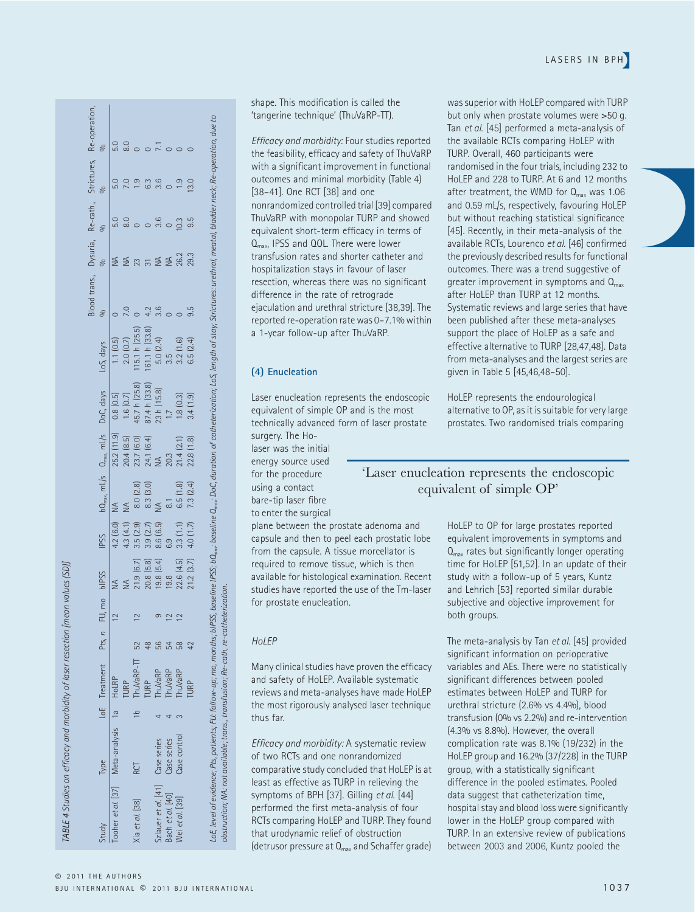TABLE 4 Studies on efficacy and morbidity of laser resection [mean values (SD]] *TABLE 4 Studies on efficacy and morbidity of laser resection [mean values (SD)]*

| S<br>(15.1 h (25.5))<br>161.1 h (33.8)<br>2.0(0.7)<br>LoS, days<br>1.1(0.5)<br>45.7 h (25.8)<br>87.4 h (33.8)<br>$bQ_{\text{max}}$ , mL/s $Q_{\text{max}}$ , mL/s $DoC$ , days<br>1.6(0.7)<br>0.8(0.5)<br>25.2(11.9)<br>20.4(8.5)<br>23.7 (6.0)<br>24.1 (6.4)<br>NA<br>8.3 (3.0)<br>8.0 (2.8)<br>$\frac{4}{5}$<br>4.2 (6.0)<br>3.5(2.9)<br>4.3 (4.1)<br>3.9(2.7)<br><b>IPSS</b><br>21.9(6.7)<br>20.8(5.8)<br>LoE Treatment Pts, n FU, mo bIPSS<br>$\sim$<br>$\mathbf 2$<br>52<br>ThuVaRP-TT<br><b>TURP</b><br>Tooher et al. [37] Meta-analysis 1a HoLRP<br><b>TURP</b><br>$\frac{1}{2}$<br>Type<br>RCT<br>Xia et al. [38] | $\frac{4}{2}$<br>$\leq$<br>23<br>7.0<br>4.2 | %<br><u>ය</u><br>$\overline{8.0}$ | 8.0 |
|---------------------------------------------------------------------------------------------------------------------------------------------------------------------------------------------------------------------------------------------------------------------------------------------------------------------------------------------------------------------------------------------------------------------------------------------------------------------------------------------------------------------------------------------------------------------------------------------------------------------------|---------------------------------------------|-----------------------------------|-----|
|                                                                                                                                                                                                                                                                                                                                                                                                                                                                                                                                                                                                                           |                                             |                                   |     |
|                                                                                                                                                                                                                                                                                                                                                                                                                                                                                                                                                                                                                           |                                             |                                   |     |
|                                                                                                                                                                                                                                                                                                                                                                                                                                                                                                                                                                                                                           |                                             |                                   |     |
|                                                                                                                                                                                                                                                                                                                                                                                                                                                                                                                                                                                                                           |                                             |                                   |     |
|                                                                                                                                                                                                                                                                                                                                                                                                                                                                                                                                                                                                                           |                                             | 63                                |     |
| 23 h (15.8)<br>$\leq$<br>8.6 (6.5)<br>19.8(5.4)<br>$\sigma$<br>န္တ<br>ThuVaRP<br>Szlauer et al. [41] Case series                                                                                                                                                                                                                                                                                                                                                                                                                                                                                                          | $\leq$<br>3.6<br>5.0 (2.4)                  | 3.6                               |     |
| 3.5<br>20.3<br>$\overline{8}$<br>6.9<br>19.8<br>$\sim$<br>54<br><b>ThuVaRP</b><br>Case series<br>Bach et al. [40]                                                                                                                                                                                                                                                                                                                                                                                                                                                                                                         | $\leq$                                      |                                   |     |
| 3.2(1.6)<br>1.8(0.3)<br>21.4(2.1)<br>6.5(1.8)<br>3.3(1.1)<br>22.6(4.5)<br>$\sim$<br>89<br><b>ThuVaRP</b><br>Case control<br>Wei et al. [39]                                                                                                                                                                                                                                                                                                                                                                                                                                                                               | 26.2                                        | 0.3                               |     |
| 6.5(2.4)<br>3.4(1.9)<br>22.8(1.8)<br>$4.0(1.7)$ 7.3 $(2.4)$<br>21.2(3.7)<br>42<br>URP                                                                                                                                                                                                                                                                                                                                                                                                                                                                                                                                     | 29.3<br>9.5                                 | 13.0<br>9.5                       |     |

shape. This modification is called the 'tangerine technique' (ThuVaRP-TT).

*Efficacy and morbidity:* Four studies reported the feasibility, efficacy and safety of ThuVaRP with a significant improvement in functional outcomes and minimal morbidity (Table 4) [38–41]. One RCT [38] and one nonrandomized controlled trial [39] compared ThuVaRP with monopolar TURP and showed equivalent short-term efficacy in terms of Q<sub>max</sub>, IPSS and QOL. There were lower transfusion rates and shorter catheter and hospitalization stays in favour of laser resection, whereas there was no significant difference in the rate of retrograde ejaculation and urethral stricture [38,39]. The reported re-operation rate was 0–7.1% within a 1-year follow-up after ThuVaRP.

#### **(4) Enucleation**

Laser enucleation represents the endoscopic equivalent of simple OP and is the most technically advanced form of laser prostate surgery. The Ho-

laser was the initial energy source used for the procedure using a contact bare-tip laser fibre to enter the surgical plane between the prostate adenoma and

capsule and then to peel each prostatic lobe from the capsule. A tissue morcellator is required to remove tissue, which is then available for histological examination. Recent studies have reported the use of the Tm-laser for prostate enucleation.

#### *HoLEP*

Many clinical studies have proven the efficacy and safety of HoLEP. Available systematic reviews and meta-analyses have made HoLEP the most rigorously analysed laser technique thus far.

*Efficacy and morbidity:* A systematic review of two RCTs and one nonrandomized comparative study concluded that HoLEP is at least as effective as TURP in relieving the symptoms of BPH [37]. Gilling *et al*. [44] performed the first meta-analysis of four RCTs comparing HoLEP and TURP. They found that urodynamic relief of obstruction (detrusor pressure at  $Q_{max}$  and Schaffer grade)

was superior with HoLEP compared with TURP but only when prostate volumes were >50 g. Tan *et al*. [45] performed a meta-analysis of the available RCTs comparing HoLEP with TURP. Overall, 460 participants were randomised in the four trials, including 232 to HoLEP and 228 to TURP. At 6 and 12 months after treatment, the WMD for  $Q_{\text{max}}$  was 1.06 and 0.59 mL/s, respectively, favouring HoLEP but without reaching statistical significance [45]. Recently, in their meta-analysis of the available RCTs, Lourenco *et al*. [46] confirmed the previously described results for functional outcomes. There was a trend suggestive of greater improvement in symptoms and  $Q<sub>max</sub>$ after HoLEP than TURP at 12 months. Systematic reviews and large series that have been published after these meta-analyses support the place of HoLEP as a safe and effective alternative to TURP [28,47,48]. Data from meta-analyses and the largest series are given in Table 5 [45,46,48–50].

HoLEP represents the endourological alternative to OP, as it is suitable for very large prostates. Two randomised trials comparing

#### 'Laser enucleation represents the endoscopic equivalent of simple OP'

HoLEP to OP for large prostates reported equivalent improvements in symptoms and  $Q<sub>max</sub>$  rates but significantly longer operating time for HoLEP [51,52]. In an update of their study with a follow-up of 5 years, Kuntz and Lehrich [53] reported similar durable subjective and objective improvement for both groups.

The meta-analysis by Tan *et al*. [45] provided significant information on perioperative variables and AEs. There were no statistically significant differences between pooled estimates between HoLEP and TURP for urethral stricture (2.6% vs 4.4%), blood transfusion (0% vs 2.2%) and re-intervention (4.3% vs 8.8%). However, the overall complication rate was 8.1% (19/232) in the HoLEP group and 16.2% (37/228) in the TURP group, with a statistically significant difference in the pooled estimates. Pooled data suggest that catheterization time, hospital stay and blood loss were significantly lower in the HoLEP group compared with TURP. In an extensive review of publications between 2003 and 2006, Kuntz pooled the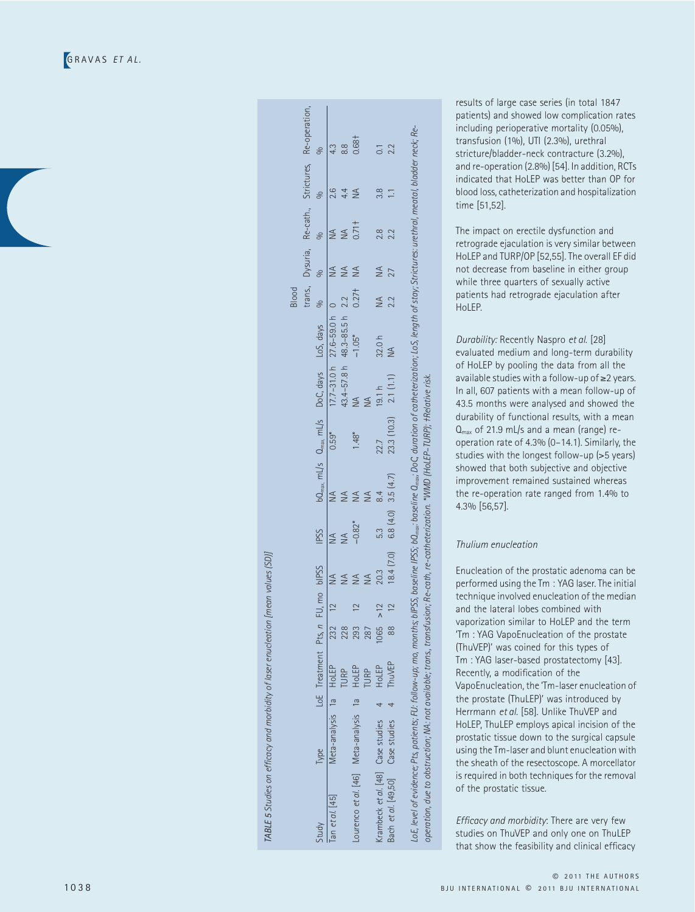| i                                                                         |
|---------------------------------------------------------------------------|
|                                                                           |
|                                                                           |
| 11P5C                                                                     |
|                                                                           |
|                                                                           |
|                                                                           |
|                                                                           |
|                                                                           |
|                                                                           |
|                                                                           |
|                                                                           |
|                                                                           |
|                                                                           |
|                                                                           |
|                                                                           |
|                                                                           |
|                                                                           |
|                                                                           |
|                                                                           |
|                                                                           |
|                                                                           |
|                                                                           |
|                                                                           |
|                                                                           |
|                                                                           |
|                                                                           |
|                                                                           |
|                                                                           |
|                                                                           |
|                                                                           |
|                                                                           |
|                                                                           |
|                                                                           |
|                                                                           |
|                                                                           |
|                                                                           |
|                                                                           |
|                                                                           |
|                                                                           |
|                                                                           |
|                                                                           |
|                                                                           |
|                                                                           |
|                                                                           |
|                                                                           |
|                                                                           |
|                                                                           |
|                                                                           |
|                                                                           |
|                                                                           |
|                                                                           |
|                                                                           |
|                                                                           |
|                                                                           |
|                                                                           |
|                                                                           |
|                                                                           |
|                                                                           |
|                                                                           |
|                                                                           |
|                                                                           |
|                                                                           |
|                                                                           |
|                                                                           |
|                                                                           |
|                                                                           |
|                                                                           |
|                                                                           |
|                                                                           |
|                                                                           |
|                                                                           |
|                                                                           |
|                                                                           |
|                                                                           |
|                                                                           |
|                                                                           |
|                                                                           |
|                                                                           |
|                                                                           |
|                                                                           |
|                                                                           |
|                                                                           |
|                                                                           |
|                                                                           |
|                                                                           |
| TABLE 5 Studies on efficacy and morbidity of laser enucleation [mean val. |

|                                                                                                                                                                                                               |                        |                      |      |     |              |             |                        |                         |                                                                                |                             | <b>Blood</b> |        |                   |               |                                                     |
|---------------------------------------------------------------------------------------------------------------------------------------------------------------------------------------------------------------|------------------------|----------------------|------|-----|--------------|-------------|------------------------|-------------------------|--------------------------------------------------------------------------------|-----------------------------|--------------|--------|-------------------|---------------|-----------------------------------------------------|
|                                                                                                                                                                                                               |                        |                      |      |     |              |             |                        |                         |                                                                                |                             |              |        |                   |               | trans, Dysuria, Re-cath., Strictures, Re-operation, |
| Study                                                                                                                                                                                                         | <b>Type</b>            | LoE Treatment Pts, n |      |     | FU, mo bIPSS | <b>APSS</b> |                        |                         | $b\Omega_{\text{max}}$ , mL/s $\Omega_{\text{max}}$ , mL/s DoC, days LoS, days |                             |              |        |                   |               |                                                     |
| [an et al. [45]                                                                                                                                                                                               | Meta-analysis 1a HoLEP |                      | 232  |     |              |             |                        | $0.59*$                 |                                                                                | 7.7-31.0 h 27.6-59.0 h 0    |              |        |                   |               |                                                     |
|                                                                                                                                                                                                               |                        | <b>URP</b>           | 228  |     |              |             |                        |                         |                                                                                | 43.4-57.8 h 48.3-85.5 h 2.2 |              |        |                   |               | $\frac{8}{8}$                                       |
| Lourenco et al. [46] Meta-analysis 1a HoLEP                                                                                                                                                                   |                        |                      | 293  |     |              | $-0.82*$    |                        |                         |                                                                                | $-1.05*$                    | $0.27+$      |        | 0.71 <sup>†</sup> |               | 1.681                                               |
|                                                                                                                                                                                                               |                        | <b>URP</b>           | 287  |     |              |             |                        |                         |                                                                                |                             |              |        |                   |               |                                                     |
| Krambeck et al. [48] Case studies 4                                                                                                                                                                           |                        | HoLEP                | 1065 | >12 | 20.3         | 5.3         |                        | 22.7                    |                                                                                | 32.0h                       | $\leq$       | $\leq$ | 2.8               | $\frac{8}{3}$ |                                                     |
| Bach et al. [49,50] Case studies 4 ThuVEP                                                                                                                                                                     |                        |                      | æ    |     | 18.4 (7.0)   |             | $6.8(4.0)$ 3.5 $(4.7)$ | $23.3(10.3)$ $2.1(1.1)$ |                                                                                | $\frac{1}{2}$               | 2.2          |        |                   |               | 2.2                                                 |
| LoE, level of evidence; Pts, patients; FU: follow-up; mo, months; blPSS, baseline IPSS; baseline (Dam; DoC, duration of catheterization; LoS, length of stay; Strictures: urethral, meatal, bladder neck; Re- |                        |                      |      |     |              |             |                        |                         |                                                                                |                             |              |        |                   |               |                                                     |
| operation, due to obstruction; NA: not available; trans, transfusion; Re-cath, re-catheterization. "VIMD [HoLEP–TURP]; †Relative risk.                                                                        |                        |                      |      |     |              |             |                        |                         |                                                                                |                             |              |        |                   |               |                                                     |

results of large case series (in total 1847 patients) and showed low complication rates including perioperative mortality (0.05%), transfusion (1%), UTI (2.3%), urethral stricture/bladder-neck contracture (3.2%), and re-operation (2.8%) [54]. In addition, RCTs indicated that HoLEP was better than OP for blood loss, catheterization and hospitalization time [51,52].

The impact on erectile dysfunction and retrograde ejaculation is very similar between HoLEP and TURP/OP [52,55]. The overall EF did not decrease from baseline in either group while three quarters of sexually active patients had retrograde ejaculation after HoLEP.

*Durability:* Recently Naspro *et al*. [28] evaluated medium and long-term durability of HoLEP by pooling the data from all the available studies with a follow-up of ≥2 years. In all, 607 patients with a mean follow-up of 43.5 months were analysed and showed the durability of functional results, with a mean  $Q_{\text{max}}$  of 21.9 mL/s and a mean (range) reoperation rate of 4.3% (0–14.1). Similarly, the studies with the longest follow-up ( >5 years) showed that both subjective and objective improvement remained sustained whereas the re-operation rate ranged from 1.4% to 4.3% [56,57].

#### *Thulium enucleation*

Enucleation of the prostatic adenoma can be performed using the Tm : YAG laser. The initial technique involved enucleation of the median and the lateral lobes combined with vaporization similar to HoLEP and the term 'Tm : YAG VapoEnucleation of the prostate (ThuVEP)' was coined for this types of Tm : YAG laser-based prostatectomy [43]. Recently, a modification of the VapoEnucleation, the 'Tm-laser enucleation of the prostate (ThuLEP)' was introduced by Herrmann *et al*. [58]. Unlike ThuVEP and HoLEP, ThuLEP employs apical incision of the prostatic tissue down to the surgical capsule using the Tm-laser and blunt enucleation with the sheath of the resectoscope. A morcellator is required in both techniques for the removal of the prostatic tissue.

*Efficacy and morbidity*: There are very few studies on ThuVEP and only one on ThuLEP that show the feasibility and clinical efficacy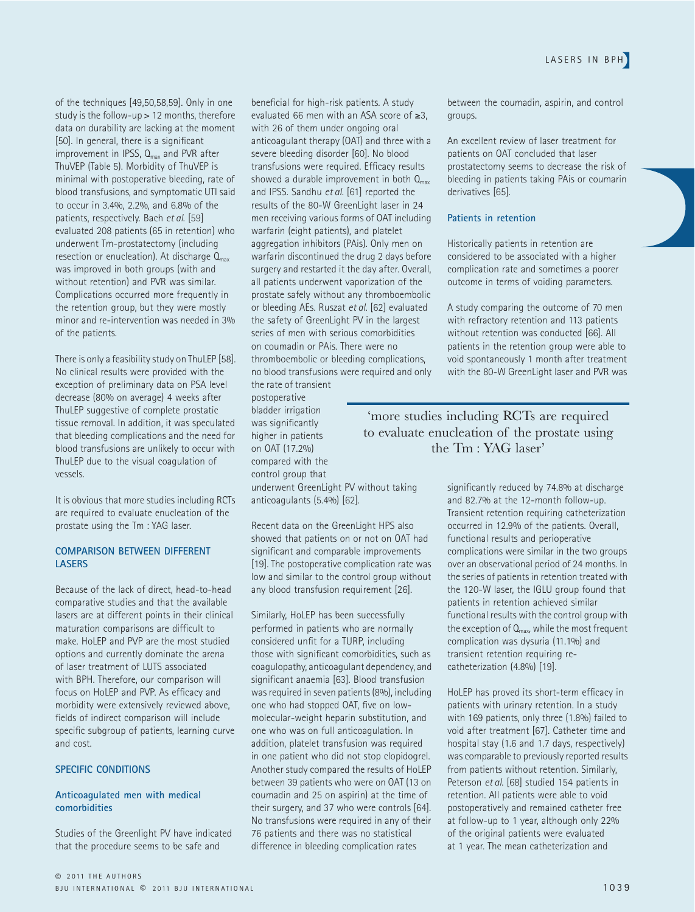of the techniques [49,50,58,59]. Only in one study is the follow-up > 12 months, therefore data on durability are lacking at the moment [50]. In general, there is a significant improvement in IPSS,  $Q_{\text{max}}$  and PVR after ThuVEP (Table 5). Morbidity of ThuVEP is minimal with postoperative bleeding, rate of blood transfusions, and symptomatic UTI said to occur in 3.4%, 2.2%, and 6.8% of the patients, respectively. Bach *et al*. [59] evaluated 208 patients (65 in retention) who underwent Tm-prostatectomy (including resection or enucleation). At discharge  $Q_{\text{max}}$ was improved in both groups (with and without retention) and PVR was similar. Complications occurred more frequently in the retention group, but they were mostly minor and re-intervention was needed in 3% of the patients.

There is only a feasibility study on ThuLEP [58]. No clinical results were provided with the exception of preliminary data on PSA level decrease (80% on average) 4 weeks after ThuLEP suggestive of complete prostatic tissue removal. In addition, it was speculated that bleeding complications and the need for blood transfusions are unlikely to occur with ThuLEP due to the visual coagulation of vessels.

It is obvious that more studies including RCTs are required to evaluate enucleation of the prostate using the Tm : YAG laser.

#### **COMPARISON BETWEEN DIFFERENT LASERS**

Because of the lack of direct, head-to-head comparative studies and that the available lasers are at different points in their clinical maturation comparisons are difficult to make. HoLEP and PVP are the most studied options and currently dominate the arena of laser treatment of LUTS associated with BPH. Therefore, our comparison will focus on HoLEP and PVP. As efficacy and morbidity were extensively reviewed above, fields of indirect comparison will include specific subgroup of patients, learning curve and cost.

#### **SPECIFIC CONDITIONS**

#### **Anticoagulated men with medical comorbidities**

Studies of the Greenlight PV have indicated that the procedure seems to be safe and

beneficial for high-risk patients. A study evaluated 66 men with an ASA score of ≥3, with 26 of them under ongoing oral anticoagulant therapy (OAT) and three with a severe bleeding disorder [60]. No blood transfusions were required. Efficacy results showed a durable improvement in both  $Q<sub>max</sub>$ and IPSS. Sandhu *et al*. [61] reported the results of the 80-W GreenLight laser in 24 men receiving various forms of OAT including warfarin (eight patients), and platelet aggregation inhibitors (PAis). Only men on warfarin discontinued the drug 2 days before surgery and restarted it the day after. Overall, all patients underwent vaporization of the prostate safely without any thromboembolic or bleeding AEs. Ruszat *et al*. [62] evaluated the safety of GreenLight PV in the largest series of men with serious comorbidities on coumadin or PAis. There were no thromboembolic or bleeding complications, no blood transfusions were required and only the rate of transient

postoperative bladder irrigation was significantly higher in patients on OAT (17.2%) compared with the control group that underwent GreenLight PV without taking anticoagulants (5.4%) [62].

Recent data on the GreenLight HPS also showed that patients on or not on OAT had significant and comparable improvements [19]. The postoperative complication rate was low and similar to the control group without any blood transfusion requirement [26].

Similarly, HoLEP has been successfully performed in patients who are normally considered unfit for a TURP, including those with significant comorbidities, such as coagulopathy, anticoagulant dependency, and significant anaemia [63]. Blood transfusion was required in seven patients (8%), including one who had stopped OAT, five on lowmolecular-weight heparin substitution, and one who was on full anticoagulation. In addition, platelet transfusion was required in one patient who did not stop clopidogrel. Another study compared the results of HoLEP between 39 patients who were on OAT (13 on coumadin and 25 on aspirin) at the time of their surgery, and 37 who were controls [64]. No transfusions were required in any of their 76 patients and there was no statistical difference in bleeding complication rates

between the coumadin, aspirin, and control groups.

An excellent review of laser treatment for patients on OAT concluded that laser prostatectomy seems to decrease the risk of bleeding in patients taking PAis or coumarin derivatives [65].

#### **Patients in retention**

Historically patients in retention are considered to be associated with a higher complication rate and sometimes a poorer outcome in terms of voiding parameters.

A study comparing the outcome of 70 men with refractory retention and 113 patients without retention was conducted [66]. All patients in the retention group were able to void spontaneously 1 month after treatment with the 80-W GreenLight laser and PVR was

'more studies including RCTs are required to evaluate enucleation of the prostate using the Tm : YAG laser'

> significantly reduced by 74.8% at discharge and 82.7% at the 12-month follow-up. Transient retention requiring catheterization occurred in 12.9% of the patients. Overall, functional results and perioperative complications were similar in the two groups over an observational period of 24 months. In the series of patients in retention treated with the 120-W laser, the IGLU group found that patients in retention achieved similar functional results with the control group with the exception of  $Q_{\text{max}}$ , while the most frequent complication was dysuria (11.1%) and transient retention requiring recatheterization (4.8%) [19].

> HoLEP has proved its short-term efficacy in patients with urinary retention. In a study with 169 patients, only three (1.8%) failed to void after treatment [67]. Catheter time and hospital stay (1.6 and 1.7 days, respectively) was comparable to previously reported results from patients without retention. Similarly, Peterson *et al*. [68] studied 154 patients in retention. All patients were able to void postoperatively and remained catheter free at follow-up to 1 year, although only 22% of the original patients were evaluated at 1 year. The mean catheterization and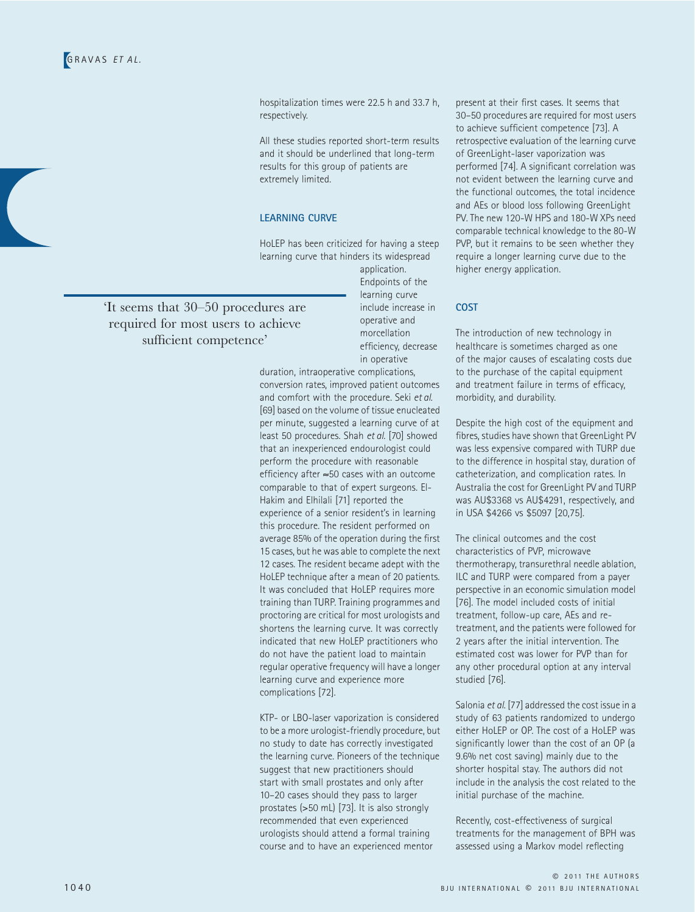hospitalization times were 22.5 h and 33.7 h, respectively.

All these studies reported short-term results and it should be underlined that long-term results for this group of patients are extremely limited.

#### **LEARNING CURVE**

HoLEP has been criticized for having a steep learning curve that hinders its widespread

application. Endpoints of the learning curve include increase in operative and morcellation efficiency, decrease in operative

duration, intraoperative complications, conversion rates, improved patient outcomes and comfort with the procedure. Seki *et al*. [69] based on the volume of tissue enucleated per minute, suggested a learning curve of at least 50 procedures. Shah *et al*. [70] showed that an inexperienced endourologist could perform the procedure with reasonable efficiency after ≈50 cases with an outcome comparable to that of expert surgeons. El-Hakim and Elhilali [71] reported the experience of a senior resident's in learning this procedure. The resident performed on average 85% of the operation during the first 15 cases, but he was able to complete the next 12 cases. The resident became adept with the HoLEP technique after a mean of 20 patients. It was concluded that HoLEP requires more training than TURP. Training programmes and proctoring are critical for most urologists and shortens the learning curve. It was correctly indicated that new HoLEP practitioners who do not have the patient load to maintain regular operative frequency will have a longer learning curve and experience more complications [72].

KTP- or LBO-laser vaporization is considered to be a more urologist-friendly procedure, but no study to date has correctly investigated the learning curve. Pioneers of the technique suggest that new practitioners should start with small prostates and only after 10–20 cases should they pass to larger prostates (>50 mL) [73]. It is also strongly recommended that even experienced urologists should attend a formal training course and to have an experienced mentor

present at their first cases. It seems that 30–50 procedures are required for most users to achieve sufficient competence [73]. A retrospective evaluation of the learning curve of GreenLight-laser vaporization was performed [74]. A significant correlation was not evident between the learning curve and the functional outcomes, the total incidence and AEs or blood loss following GreenLight PV. The new 120-W HPS and 180-W XPs need comparable technical knowledge to the 80-W PVP, but it remains to be seen whether they require a longer learning curve due to the higher energy application.

#### **COST**

The introduction of new technology in healthcare is sometimes charged as one of the major causes of escalating costs due to the purchase of the capital equipment and treatment failure in terms of efficacy, morbidity, and durability.

Despite the high cost of the equipment and fibres, studies have shown that GreenLight PV was less expensive compared with TURP due to the difference in hospital stay, duration of catheterization, and complication rates. In Australia the cost for GreenLight PV and TURP was AU\$3368 vs AU\$4291, respectively, and in USA \$4266 vs \$5097 [20,75].

The clinical outcomes and the cost characteristics of PVP, microwave thermotherapy, transurethral needle ablation, ILC and TURP were compared from a payer perspective in an economic simulation model [76]. The model included costs of initial treatment, follow-up care, AEs and retreatment, and the patients were followed for 2 years after the initial intervention. The estimated cost was lower for PVP than for any other procedural option at any interval studied [76].

Salonia *et al*. [77] addressed the cost issue in a study of 63 patients randomized to undergo either HoLEP or OP. The cost of a HoLEP was significantly lower than the cost of an OP (a 9.6% net cost saving) mainly due to the shorter hospital stay. The authors did not include in the analysis the cost related to the initial purchase of the machine.

Recently, cost-effectiveness of surgical treatments for the management of BPH was assessed using a Markov model reflecting

'It seems that 30–50 procedures are required for most users to achieve sufficient competence'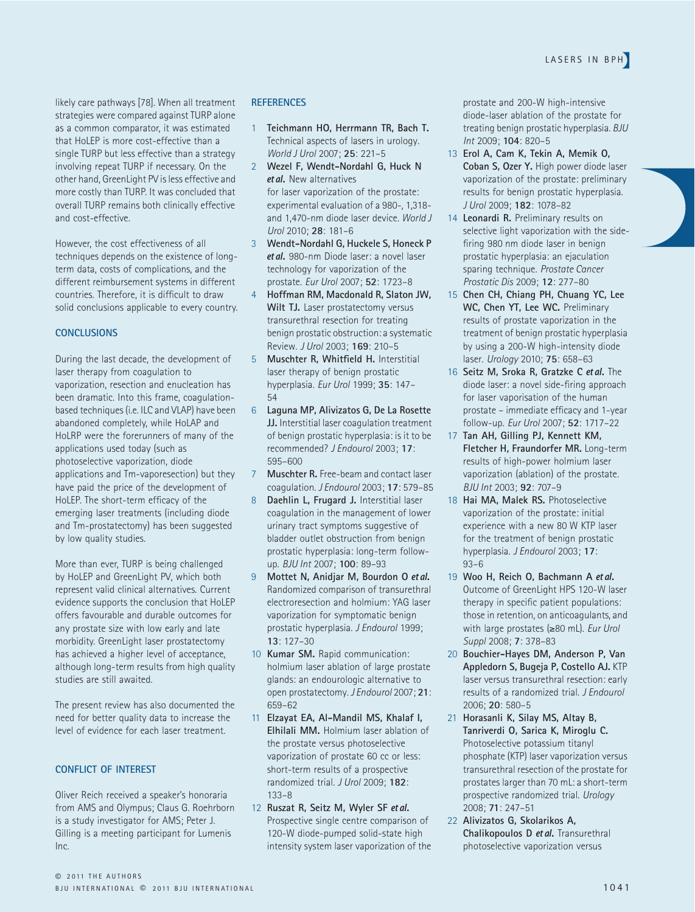likely care pathways [78]. When all treatment strategies were compared against TURP alone as a common comparator, it was estimated that HoLEP is more cost-effective than a single TURP but less effective than a strategy involving repeat TURP if necessary. On the other hand, GreenLight PV is less effective and more costly than TURP. It was concluded that overall TURP remains both clinically effective and cost-effective.

However, the cost effectiveness of all techniques depends on the existence of longterm data, costs of complications, and the different reimbursement systems in different countries. Therefore, it is difficult to draw solid conclusions applicable to every country.

#### **CONCLUSIONS**

During the last decade, the development of laser therapy from coagulation to vaporization, resection and enucleation has been dramatic. Into this frame, coagulationbased techniques (i.e. ILC and VLAP) have been abandoned completely, while HoLAP and HoLRP were the forerunners of many of the applications used today (such as photoselective vaporization, diode applications and Tm-vaporesection) but they have paid the price of the development of HoLEP. The short-term efficacy of the emerging laser treatments (including diode and Tm-prostatectomy) has been suggested by low quality studies.

More than ever, TURP is being challenged by HoLEP and GreenLight PV, which both represent valid clinical alternatives. Current evidence supports the conclusion that HoLEP offers favourable and durable outcomes for any prostate size with low early and late morbidity. GreenLight laser prostatectomy has achieved a higher level of acceptance, although long-term results from high quality studies are still awaited.

The present review has also documented the need for better quality data to increase the level of evidence for each laser treatment.

#### **CONFLICT OF INTEREST**

Oliver Reich received a speaker's honoraria from AMS and Olympus; Claus G. Roehrborn is a study investigator for AMS; Peter J. Gilling is a meeting participant for Lumenis Inc.

#### **REFERENCES**

- 1 **Teichmann HO, Herrmann TR, Bach T.**  Technical aspects of lasers in urology. *World J Urol* 2007; **25**: 221–5
- 2 **Wezel F, Wendt-Nordahl G, Huck N**  et al**.** New alternatives for laser vaporization of the prostate: experimental evaluation of a 980-, 1,318 and 1,470-nm diode laser device. *World J Urol* 2010; **28**: 181–6
- 3 **Wendt-Nordahl G, Huckele S, Honeck P**  et al**.** 980-nm Diode laser: a novel laser technology for vaporization of the prostate. *Eur Urol* 2007; **52**: 1723–8
- 4 **Hoffman RM, Macdonald R, Slaton JW,**  Wilt TJ. Laser prostatectomy versus transurethral resection for treating benign prostatic obstruction: a systematic Review. *J Urol* 2003; **169**: 210–5
- 5 **Muschter R, Whitfield H.** Interstitial laser therapy of benign prostatic hyperplasia. *Eur Urol* 1999; **35**: 147– 54
- 6 **Laguna MP, Alivizatos G, De La Rosette JJ.** Interstitial laser coagulation treatment of benign prostatic hyperplasia: is it to be recommended? *J Endourol* 2003; **17**: 595–600
- 7 **Muschter R.** Free-beam and contact laser coagulation. *J Endourol* 2003; **17**: 579–85
- 8 **Daehlin L, Frugard J.** Interstitial laser coagulation in the management of lower urinary tract symptoms suggestive of bladder outlet obstruction from benign prostatic hyperplasia: long-term followup. *BJU Int* 2007; **100**: 89–93
- 9 **Mottet N, Anidjar M, Bourdon O** et al**.**  Randomized comparison of transurethral electroresection and holmium: YAG laser vaporization for symptomatic benign prostatic hyperplasia. *J Endourol* 1999; **13**: 127–30
- 10 **Kumar SM.** Rapid communication: holmium laser ablation of large prostate glands: an endourologic alternative to open prostatectomy. *J Endourol* 2007; **21**: 659–62
- 11 **Elzayat EA, Al-Mandil MS, Khalaf I, Elhilali MM.** Holmium laser ablation of the prostate versus photoselective vaporization of prostate 60 cc or less: short-term results of a prospective randomized trial. *J Urol* 2009; **182**: 133–8
- 12 **Ruszat R, Seitz M, Wyler SF** et al**.**  Prospective single centre comparison of 120-W diode-pumped solid-state high intensity system laser vaporization of the

prostate and 200-W high-intensive diode-laser ablation of the prostate for treating benign prostatic hyperplasia. *BJU Int* 2009; **104**: 820–5

- 13 **Erol A, Cam K, Tekin A, Memik O, Coban S, Ozer Y.** High power diode laser vaporization of the prostate: preliminary results for benign prostatic hyperplasia. *J Urol* 2009; **182**: 1078–82
- 14 **Leonardi R.** Preliminary results on selective light vaporization with the sidefiring 980 nm diode laser in benign prostatic hyperplasia: an ejaculation sparing technique. *Prostate Cancer Prostatic Dis* 2009; **12**: 277–80
- 15 **Chen CH, Chiang PH, Chuang YC, Lee WC, Chen YT, Lee WC.** Preliminary results of prostate vaporization in the treatment of benign prostatic hyperplasia by using a 200-W high-intensity diode laser. *Urology* 2010; **75**: 658–63
- 16 **Seitz M, Sroka R, Gratzke C** et al**.** The diode laser: a novel side-firing approach for laser vaporisation of the human prostate – immediate efficacy and 1-year follow-up. *Eur Urol* 2007; **52**: 1717–22
- 17 **Tan AH, Gilling PJ, Kennett KM, Fletcher H, Fraundorfer MR.** Long-term results of high-power holmium laser vaporization (ablation) of the prostate. *BJU Int* 2003; **92**: 707–9
- 18 Hai MA, Malek RS. Photoselective vaporization of the prostate: initial experience with a new 80 W KTP laser for the treatment of benign prostatic hyperplasia. *J Endourol* 2003; **17**: 93–6
- 19 **Woo H, Reich O, Bachmann A** et al**.**  Outcome of GreenLight HPS 120-W laser therapy in specific patient populations: those in retention, on anticoagulants, and with large prostates (≥80 mL). *Eur Urol Suppl* 2008; **7**: 378–83
- 20 **Bouchier-Hayes DM, Anderson P, Van Appledorn S, Bugeja P, Costello AJ.** KTP laser versus transurethral resection: early results of a randomized trial. *J Endourol* 2006; **20**: 580–5
- 21 **Horasanli K, Silay MS, Altay B, Tanriverdi O, Sarica K, Miroglu C.**  Photoselective potassium titanyl phosphate (KTP) laser vaporization versus transurethral resection of the prostate for prostates larger than 70 mL: a short-term prospective randomized trial. *Urology* 2008; **71**: 247–51
- 22 **Alivizatos G, Skolarikos A, Chalikopoulos D** et al**.** Transurethral photoselective vaporization versus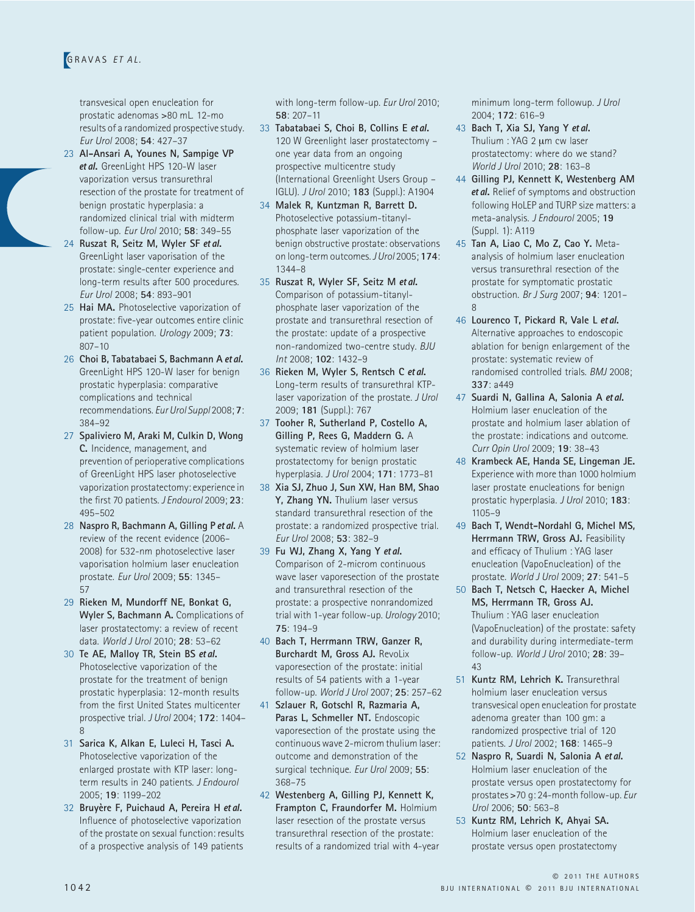transvesical open enucleation for prostatic adenomas >80 mL. 12-mo results of a randomized prospective study. *Eur Urol* 2008; **54**: 427–37

- 23 **Al-Ansari A, Younes N, Sampige VP**  et al**.** GreenLight HPS 120-W laser vaporization versus transurethral resection of the prostate for treatment of benign prostatic hyperplasia: a randomized clinical trial with midterm follow-up. *Eur Urol* 2010; **58**: 349–55
- 24 **Ruszat R, Seitz M, Wyler SF** et al**.**  GreenLight laser vaporisation of the prostate: single-center experience and long-term results after 500 procedures. *Eur Urol* 2008; **54**: 893–901
- 25 **Hai MA.** Photoselective vaporization of prostate: five-year outcomes entire clinic patient population. *Urology* 2009; **73**: 807–10
- 26 **Choi B, Tabatabaei S, Bachmann A** et al**.**  GreenLight HPS 120-W laser for benign prostatic hyperplasia: comparative complications and technical recommendations. *Eur Urol Suppl* 2008; **7**: 384–92
- 27 **Spaliviero M, Araki M, Culkin D, Wong C.** Incidence, management, and prevention of perioperative complications of GreenLight HPS laser photoselective vaporization prostatectomy: experience in the first 70 patients. *J Endourol* 2009; **23**: 495–502
- 28 **Naspro R, Bachmann A, Gilling P** et al**.** A review of the recent evidence (2006– 2008) for 532-nm photoselective laser vaporisation holmium laser enucleation prostate. *Eur Urol* 2009; **55**: 1345– 57
- 29 **Rieken M, Mundorff NE, Bonkat G, Wyler S, Bachmann A.** Complications of laser prostatectomy: a review of recent data. *World J Urol* 2010; **28**: 53–62
- 30 **Te AE, Malloy TR, Stein BS** et al**.**  Photoselective vaporization of the prostate for the treatment of benign prostatic hyperplasia: 12-month results from the first United States multicenter prospective trial. *J Urol* 2004; **172**: 1404– 8
- 31 **Sarica K, Alkan E, Luleci H, Tasci A.**  Photoselective vaporization of the enlarged prostate with KTP laser: longterm results in 240 patients. *J Endourol* 2005; **19**: 1199–202
- 32 **Bruyère F, Puichaud A, Pereira H** et al**.**  Influence of photoselective vaporization of the prostate on sexual function: results of a prospective analysis of 149 patients

with long-term follow-up. *Eur Urol* 2010; **58**: 207–11

- 33 **Tabatabaei S, Choi B, Collins E** et al**.**  120 W Greenlight laser prostatectomy – one year data from an ongoing prospective multicentre study (International Greenlight Users Group – IGLU). *J Urol* 2010; **183** (Suppl.): A1904
- 34 **Malek R, Kuntzman R, Barrett D.**  Photoselective potassium-titanylphosphate laser vaporization of the benign obstructive prostate: observations on long-term outcomes. *J Urol* 2005; **174**: 1344–8
- 35 **Ruszat R, Wyler SF, Seitz M** et al**.**  Comparison of potassium-titanylphosphate laser vaporization of the prostate and transurethral resection of the prostate: update of a prospective non-randomized two-centre study. *BJU Int* 2008; **102**: 1432–9
- 36 **Rieken M, Wyler S, Rentsch C** et al**.**  Long-term results of transurethral KTPlaser vaporization of the prostate. *J Urol* 2009; **181** (Suppl.): 767
- 37 **Tooher R, Sutherland P, Costello A, Gilling P, Rees G, Maddern G.** A systematic review of holmium laser prostatectomy for benign prostatic hyperplasia. *J Urol* 2004; **171**: 1773–81
- 38 **Xia SJ, Zhuo J, Sun XW, Han BM, Shao**  Y, Zhang YN. Thulium laser versus standard transurethral resection of the prostate: a randomized prospective trial. *Eur Urol* 2008; **53**: 382–9
- 39 **Fu WJ, Zhang X, Yang Y** et al**.**  Comparison of 2-microm continuous wave laser vaporesection of the prostate and transurethral resection of the prostate: a prospective nonrandomized trial with 1-year follow-up. *Urology* 2010; **75**: 194–9
- 40 **Bach T, Herrmann TRW, Ganzer R, Burchardt M, Gross AJ.** RevoLix vaporesection of the prostate: initial results of 54 patients with a 1-year follow-up. *World J Urol* 2007; **25**: 257–62
- 41 **Szlauer R, Gotschl R, Razmaria A,**  Paras L, Schmeller NT. Endoscopic vaporesection of the prostate using the continuous wave 2-microm thulium laser: outcome and demonstration of the surgical technique. *Eur Urol* 2009; **55**: 368–75
- 42 **Westenberg A, Gilling PJ, Kennett K, Frampton C, Fraundorfer M.** Holmium laser resection of the prostate versus transurethral resection of the prostate: results of a randomized trial with 4-year

minimum long-term followup. *J Urol* 2004; **172**: 616–9

- 43 **Bach T, Xia SJ, Yang Y** et al**.**  Thulium : YAG 2 μm cw laser prostatectomy: where do we stand? *World J Urol* 2010; **28**: 163–8
- 44 **Gilling PJ, Kennett K, Westenberg AM**  et al**.** Relief of symptoms and obstruction following HoLEP and TURP size matters: a meta-analysis. *J Endourol* 2005; **19** (Suppl. 1): A119
- 45 **Tan A, Liao C, Mo Z, Cao Y.** Metaanalysis of holmium laser enucleation versus transurethral resection of the prostate for symptomatic prostatic obstruction. *Br J Surg* 2007; **94**: 1201–  $\mathsf{Q}$
- 46 **Lourenco T, Pickard R, Vale L** et al**.**  Alternative approaches to endoscopic ablation for benign enlargement of the prostate: systematic review of randomised controlled trials. *BMJ* 2008; **337**: a449
- 47 **Suardi N, Gallina A, Salonia A** et al**.**  Holmium laser enucleation of the prostate and holmium laser ablation of the prostate: indications and outcome. *Curr Opin Urol* 2009; **19**: 38–43
- 48 **Krambeck AE, Handa SE, Lingeman JE.**  Experience with more than 1000 holmium laser prostate enucleations for benign prostatic hyperplasia. *J Urol* 2010; **183**: 1105–9
- 49 **Bach T, Wendt-Nordahl G, Michel MS, Herrmann TRW, Gross AJ. Feasibility** and efficacy of Thulium : YAG laser enucleation (VapoEnucleation) of the prostate. *World J Urol* 2009; **27**: 541–5
- 50 **Bach T, Netsch C, Haecker A, Michel MS, Herrmann TR, Gross AJ.**  Thulium : YAG laser enucleation (VapoEnucleation) of the prostate: safety and durability during intermediate-term follow-up. *World J Urol* 2010; **28**: 39–  $\Delta$ 3
- 51 **Kuntz RM, Lehrich K.** Transurethral holmium laser enucleation versus transvesical open enucleation for prostate adenoma greater than 100 gm: a randomized prospective trial of 120 patients. *J Urol* 2002; **168**: 1465–9
- 52 **Naspro R, Suardi N, Salonia A** et al**.**  Holmium laser enucleation of the prostate versus open prostatectomy for prostates >70 g: 24-month follow-up. *Eur Urol* 2006; **50**: 563–8
- 53 **Kuntz RM, Lehrich K, Ahyai SA.**  Holmium laser enucleation of the prostate versus open prostatectomy